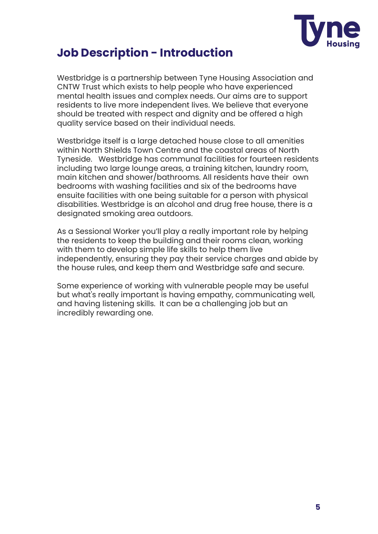

### **Job Description - Introduction**

Westbridge is a partnership between Tyne Housing Association and CNTW Trust which exists to help people who have experienced mental health issues and complex needs. Our aims are to support residents to live more independent lives. We believe that everyone should be treated with respect and dignity and be offered a high quality service based on their individual needs.

Westbridge itself is a large detached house close to all amenities within North Shields Town Centre and the coastal areas of North Tyneside. Westbridge has communal facilities for fourteen residents including two large lounge areas, a training kitchen, laundry room, main kitchen and shower/bathrooms. All residents have their own bedrooms with washing facilities and six of the bedrooms have ensuite facilities with one being suitable for a person with physical disabilities. Westbridge is an alcohol and drug free house, there is a designated smoking area outdoors.

As a Sessional Worker you'll play a really important role by helping the residents to keep the building and their rooms clean, working with them to develop simple life skills to help them live independently, ensuring they pay their service charges and abide by the house rules, and keep them and Westbridge safe and secure.

Some experience of working with vulnerable people may be useful but what's really important is having empathy, communicating well, and having listening skills. It can be a challenging job but an incredibly rewarding one.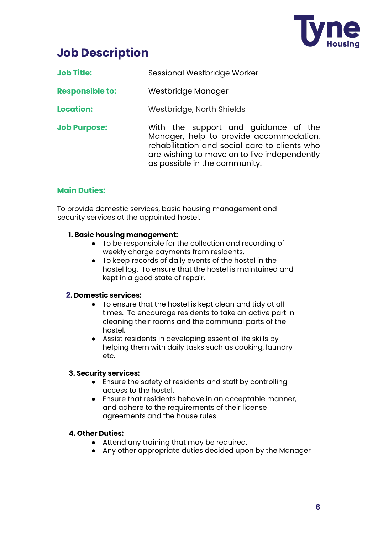

# **Job Description**

| <b>Job Title:</b> | Sessional Westbridge Worker |
|-------------------|-----------------------------|
|                   |                             |

- **Responsible to:** Westbridge Manager
- **Location:** Westbridge, North Shields
- **Job Purpose:** With the support and guidance of the Manager, help to provide accommodation, rehabilitation and social care to clients who are wishing to move on to live independently as possible in the community.

### **Main Duties:**

To provide domestic services, basic housing management and security services at the appointed hostel.

#### **1. Basic housing management:**

- To be responsible for the collection and recording of weekly charge payments from residents.
- To keep records of daily events of the hostel in the hostel log. To ensure that the hostel is maintained and kept in a good state of repair.

### **2. Domestic services:**

- To ensure that the hostel is kept clean and tidy at all times. To encourage residents to take an active part in cleaning their rooms and the communal parts of the hostel.
- Assist residents in developing essential life skills by helping them with daily tasks such as cooking, laundry etc.

### **3. Security services:**

- Ensure the safety of residents and staff by controlling access to the hostel.
- Ensure that residents behave in an acceptable manner, and adhere to the requirements of their license agreements and the house rules.

#### **4. Other Duties:**

- Attend any training that may be required.
- Any other appropriate duties decided upon by the Manager